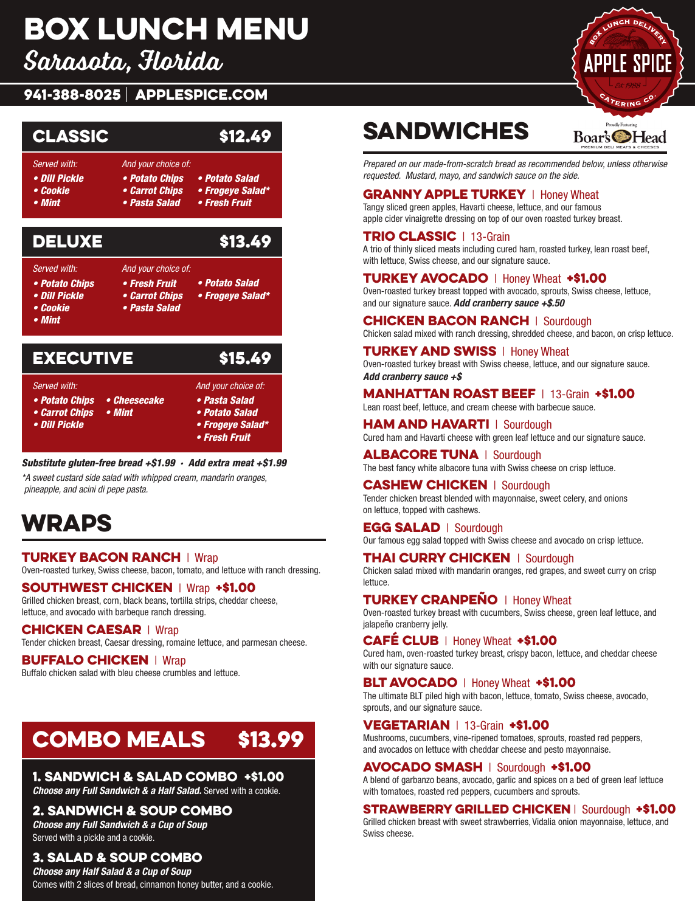# **BOX LUNCH MENU**

Sarasota, Florida **Menueles a Constantino** 

# .<br>941-388-8025 | APPLESPICE.COM



*• Fresh Fruit pineapple, and acini di pepe pasta.*

### *Substitute gluten-free bread +\$1.99 · Add extra meat +\$1.99*  Wraps

\*A sweet custard side salad with whipped cream, mandarin oranges,<br>, ainseanla, and asini di nano neets  *pineapple, and acini di pepe pasta.* Oven-roasted turkey, Swiss cheese, bacon, tomato, and lettuce with ranch dressing.

# **WRAPS**

**TURKEY BACON RANCH** | Wrap **Chicken breast, Caesar dressing, romaine lettersing**, roman **COVERTING COVERTS COVERTS COVERTS COVERTS**<br>Oven-roasted turkey, Swiss cheese, bacon, tomato, and lettuce with ranch dressing. Chicken Caesar | Wrap

### SOUTHWEST CHICKEN | Wrap +\$1.00

Grilled chicken breast, corn, black beans, tortilla strips, cheddar cheese, lettuce, and avocado with barbeque ranch dressing.

### **CHICKEN CAESAR** | Wrap  $\overline{S}$

Tender chicken breast, Caesar dressing, romaine lettuce, and parmesan cheese.

### **BUFFALO CHICKEN** | Wrap

**COOSETT ALCOOSE INCRETE THEORY CONSUMERS AND SANDWICH SANDWICH SANDWICH SANDWICH SANDWICH SANDWICH SANDWICH SANDWICH SANDWICH SANDWICH SANDWICH SANDWICH SANDWICH SANDWICH SANDWICH SANDWICH SANDWICH SANDWICH SANDWICH SANDW** 

#### Combo Meals \$13.99 *Choose any Half Salad & a Cup of Soup* 3. Salad & Soup Combo VILALJ VIJOZZ

### 1. Sandwich & Salad Combo +\$1.00

*Choose any Full Sandwich & a Half Salad.* Served with a cookie.

### 2. Sandwich & Soup Combo

*Choose any Full Sandwich & a Cup of Soup* Served with a pickle and a cookie.

### 3. Salad & Soup Combo

*Choose any Half Salad & a Cup of Soup* Comes with 2 slices of bread, cinnamon honey butter, and a cookie.

# Sandwiches Sandwiches

Prepared on our made-from-scratch bread as recommended below, unless otherwise *requested. Mustard, mayo, and sandwich sauce on the side. Mustard, mayo, and sandwich sauce on the side.*

#### **GRANNY APPLE TURKEY** | Honey Wheat TAPPLE TURNET I HURTY WIRD

Tangy sliced green apples, Havarti cheese, lettuce, and our famous apple cider vinaigrette dressing on top of our oven roasted turkey breast.

### **TRIO CLASSIC**  $\parallel$  13-Grain

A trio of thinly sliced meats including cured ham, roasted turkey, lean roast beef, with lettuce, Swiss cheese, and our signature sauce.

### **TURKEY AVOCADO** | Honey Wheat +\$1.00

Oven-roasted turkey breast topped with avocado, sprouts, Swiss cheese, lettuce, and our signature sauce. Add cranberry sauce +\$.50 Chicken salad mixed with ranch dressing, shredded cheese, and bacon, on crisp lettuce.

### **CHICKEN BACON RANCH** | Sourdough

Chicken salad mixed with ranch dressing, shredded cheese, and bacon, on crisp lettuce.

#### **TURKEY AND SWISS | Honey Wheat** Oven-roasted turkey breast with Swiss cheese, lettuce, and our signature sauce. **Add cranberry sauce +\$**

### MANHATTAN ROAST BEEF | 13-Grain +\$1.00

Lean roast beef, lettuce, and cream cheese with barbecue sauce.

HAM AND HAVARTI | Sourdough Cured ham and Havarti cheese with green leaf lettuce and our signature sauce. **DE BEST FANCIS EN LABACTER SUITS CHEESE ON CRISP LETTER WITH SWISS CHEESE ON CRISP LETTER SWISS CHEESE ON CRIS** 

**ALBACORE TUNA** | Sourdough The best fancy white albacore tuna with Swiss cheese on crisp lettuce.

#### **CASHEW CHICKEN** | Sourdough **ORUS BUY OF HURLET** TOOGROUGHT<br>Tender chicken breast blended with mayonnaise, sweet celery, and onions on lettuce, topped with cashews.

EGG SALAD | Sourdough

Our famous egg salad topped with Swiss cheese and avocado on crisp lettuce.

### **THAI CURRY CHICKEN** | Sourdough

chicken salad mixed with mandarin oranges, red grapes, and sweet curry on crisp lettuce.

#### **TURKEY CRANPEÑO** | Honey Wheat **WINTERY**

Oven-roasted turkey breast with cucumbers, Swiss cheese, green leaf lettuce, and<br>iclane®e erepherry jelly jalapeño cranberry jelly. the ultimate BLT piled high with bacon, lettuce, to material high with bacon, swiss cheese, avocado, swiss che

### CAFE CLUB | Honey Wheat +\$1.00

Cured ham, oven-roasted turkey breast, crispy bacon, lettuce, and cheddar cheese with our signature sauce.

### BLT AVOCADO | Honey Wheat +\$1.00

The ultimate BLT piled high with bacon, lettuce, tomato, Swiss cheese, avocado, sprouts, and our signature sauce.

### VEGETARIAN | 13-Grain +\$1.00

**WEGE TARTARY TEST COMBILIER FROM**<br>Mushrooms, cucumbers, vine-ripened tomatoes, sprouts, roasted red peppers, musinooms, cucumbers, vine-ripened tomatoes, sprouts, roasted red peppers,<br>and avocados on lettuce with cheddar cheese and pesto mayonnaise. and it is cheese.

### avocado smash | Sourdough +\$1.00

A blend of garbanzo beans, avocado, garlic and spices on a bed of green leaf lettuce with tomatoes, roasted red peppers, cucumbers and sprouts.

### Strawberry Grilled Chicken | Sourdough +\$1.00

Grilled chicken breast with sweet strawberries, Vidalia onion mayonnaise, lettuce, and Swiss cheese.